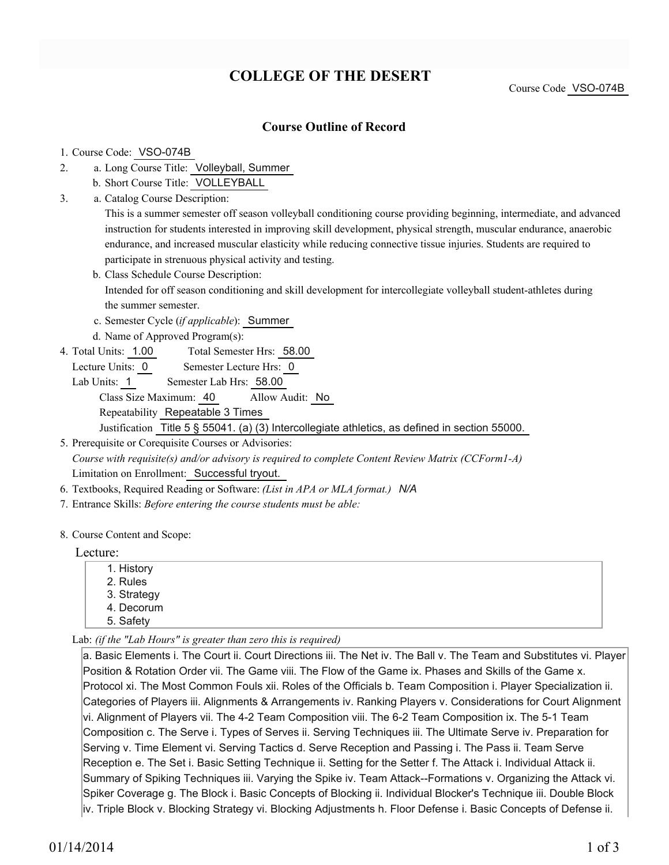# **COLLEGE OF THE DESERT**

Course Code VSO-074B

### **Course Outline of Record**

#### 1. Course Code: VSO-074B

- a. Long Course Title: Volleyball, Summer 2.
	- b. Short Course Title: VOLLEYBALL
- Catalog Course Description: a. 3.

This is a summer semester off season volleyball conditioning course providing beginning, intermediate, and advanced instruction for students interested in improving skill development, physical strength, muscular endurance, anaerobic endurance, and increased muscular elasticity while reducing connective tissue injuries. Students are required to participate in strenuous physical activity and testing.

- b. Class Schedule Course Description: Intended for off season conditioning and skill development for intercollegiate volleyball student-athletes during the summer semester.
- c. Semester Cycle (*if applicable*): Summer
- d. Name of Approved Program(s):
- Total Semester Hrs: 58.00 4. Total Units: 1.00
	- Lecture Units: 0 Semester Lecture Hrs: 0
	- Lab Units: 1 Semester Lab Hrs: 58.00 Class Size Maximum: 40 Allow Audit: No Repeatability Repeatable 3 Times Justification Title 5 § 55041. (a) (3) Intercollegiate athletics, as defined in section 55000.

5. Prerequisite or Corequisite Courses or Advisories: *Course with requisite(s) and/or advisory is required to complete Content Review Matrix (CCForm1-A)* Limitation on Enrollment: Successful tryout.

- 6. Textbooks, Required Reading or Software: *(List in APA or MLA format.) N/A*
- 7. Entrance Skills: *Before entering the course students must be able:*

#### 8. Course Content and Scope:

#### Lecture:

- 1. History 2. Rules 3. Strategy 4. Decorum
- 5. Safety

Lab: *(if the "Lab Hours" is greater than zero this is required)*

a. Basic Elements i. The Court ii. Court Directions iii. The Net iv. The Ball v. The Team and Substitutes vi. Player Position & Rotation Order vii. The Game viii. The Flow of the Game ix. Phases and Skills of the Game x. Protocol xi. The Most Common Fouls xii. Roles of the Officials b. Team Composition i. Player Specialization ii. Categories of Players iii. Alignments & Arrangements iv. Ranking Players v. Considerations for Court Alignment vi. Alignment of Players vii. The 4-2 Team Composition viii. The 6-2 Team Composition ix. The 5-1 Team Composition c. The Serve i. Types of Serves ii. Serving Techniques iii. The Ultimate Serve iv. Preparation for Serving v. Time Element vi. Serving Tactics d. Serve Reception and Passing i. The Pass ii. Team Serve Reception e. The Set i. Basic Setting Technique ii. Setting for the Setter f. The Attack i. Individual Attack ii. Summary of Spiking Techniques iii. Varying the Spike iv. Team Attack--Formations v. Organizing the Attack vi. Spiker Coverage g. The Block i. Basic Concepts of Blocking ii. Individual Blocker's Technique iii. Double Block iv. Triple Block v. Blocking Strategy vi. Blocking Adjustments h. Floor Defense i. Basic Concepts of Defense ii.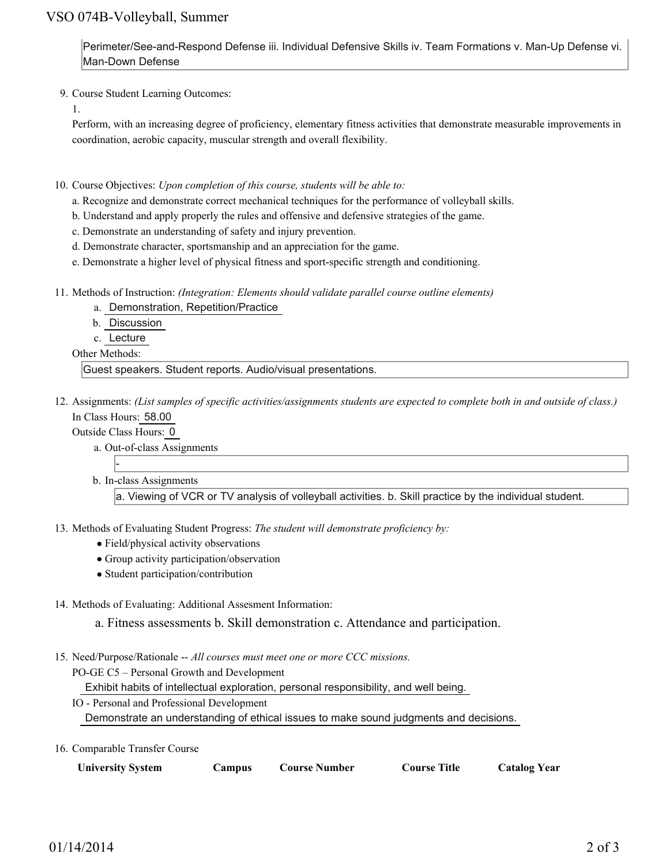## VSO 074B-Volleyball, Summer

Perimeter/See-and-Respond Defense iii. Individual Defensive Skills iv. Team Formations v. Man-Up Defense vi. Man-Down Defense

9. Course Student Learning Outcomes:

1.

Perform, with an increasing degree of proficiency, elementary fitness activities that demonstrate measurable improvements in coordination, aerobic capacity, muscular strength and overall flexibility.

- 10. Course Objectives: Upon completion of this course, students will be able to:
	- a. Recognize and demonstrate correct mechanical techniques for the performance of volleyball skills.
	- b. Understand and apply properly the rules and offensive and defensive strategies of the game.
	- c. Demonstrate an understanding of safety and injury prevention.
	- d. Demonstrate character, sportsmanship and an appreciation for the game.
	- e. Demonstrate a higher level of physical fitness and sport-specific strength and conditioning.
- 11. Methods of Instruction: *(Integration: Elements should validate parallel course outline elements)* 
	- a. Demonstration, Repetition/Practice
	- b. Discussion
	- c. Lecture

Other Methods:

Guest speakers. Student reports. Audio/visual presentations.

12. Assignments: (List samples of specific activities/assignments students are expected to complete both in and outside of class.) In Class Hours: 58.00

Outside Class Hours: 0

- a. Out-of-class Assignments
- b. In-class Assignments

a. Viewing of VCR or TV analysis of volleyball activities. b. Skill practice by the individual student.

13. Methods of Evaluating Student Progress: The student will demonstrate proficiency by:

- Field/physical activity observations
- Group activity participation/observation
- Student participation/contribution
- 14. Methods of Evaluating: Additional Assesment Information:

a. Fitness assessments b. Skill demonstration c. Attendance and participation.

- 15. Need/Purpose/Rationale -- All courses must meet one or more CCC missions.
	- PO-GE C5 Personal Growth and Development

Exhibit habits of intellectual exploration, personal responsibility, and well being.

- IO Personal and Professional Development Demonstrate an understanding of ethical issues to make sound judgments and decisions.
- 16. Comparable Transfer Course

| <b>University System</b> | <b>Campus</b> | Course Number | <b>Course Title</b> | <b>Catalog Year</b> |
|--------------------------|---------------|---------------|---------------------|---------------------|
|--------------------------|---------------|---------------|---------------------|---------------------|